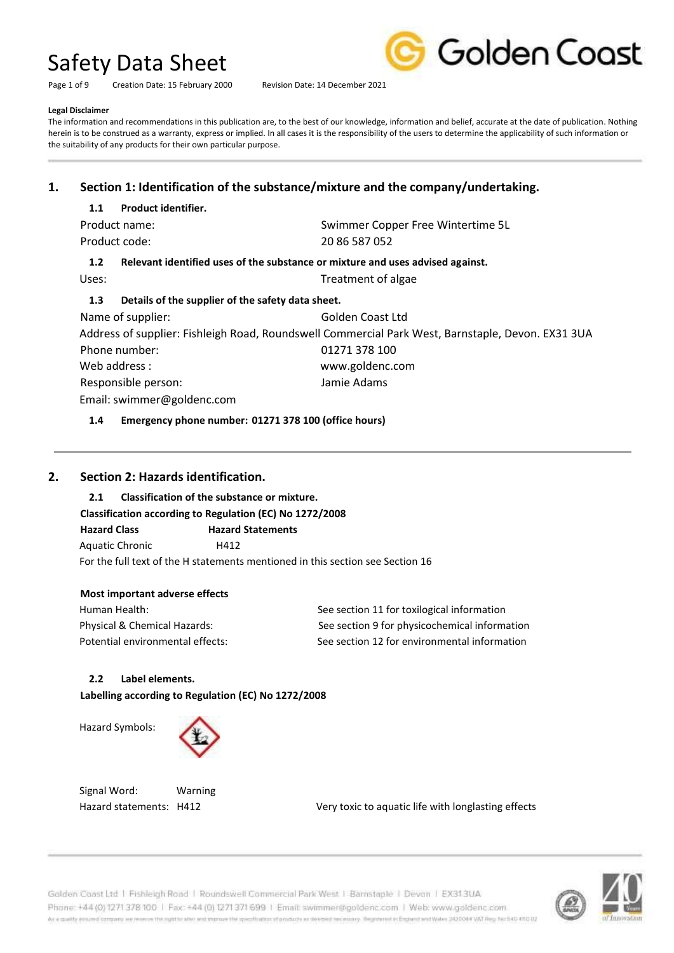Page 1 of 9 Creation Date: 15 February 2000 Revision Date: 14 December 2021



#### **Legal Disclaimer**

The information and recommendations in this publication are, to the best of our knowledge, information and belief, accurate at the date of publication. Nothing herein is to be construed as a warranty, express or implied. In all cases it is the responsibility of the users to determine the applicability of such information or the suitability of any products for their own particular purpose.

# **1. Section 1: Identification of the substance/mixture and the company/undertaking.**

#### **1.1 Product identifier.**

| Product name: | Swimmer Copper Free Wintertime 5L |
|---------------|-----------------------------------|
| Product code: | 20 86 587 052                     |

### **1.2 Relevant identified uses of the substance or mixture and uses advised against.**

Uses: Uses: Treatment of algae

#### **1.3 Details of the supplier of the safety data sheet.**

Name of supplier: Golden Coast Ltd Address of supplier: Fishleigh Road, Roundswell Commercial Park West, Barnstaple, Devon. EX31 3UA Phone number: 01271 378 100 Web address : www.goldenc.com Responsible person: Jamie Adams Email: swimmer@goldenc.com

#### **1.4 Emergency phone number: 01271 378 100 (office hours)**

## **2. Section 2: Hazards identification.**

### **2.1 Classification of the substance or mixture.**

## **Classification according to Regulation (EC) No 1272/2008**

**Hazard Class Hazard Statements**  Aquatic Chronic H412 For the full text of the H statements mentioned in this section see Section 16

### **Most important adverse effects**

Human Health: See section 11 for toxilogical information Physical & Chemical Hazards: See section 9 for physicochemical information Potential environmental effects: See section 12 for environmental information

### **2.2 Label elements.**

**Labelling according to Regulation (EC) No 1272/2008** 

Hazard Symbols:



Signal Word: Warning

Hazard statements: H412 Very toxic to aquatic life with longlasting effects



Golden Coast Ltd | Fishleigh Road | Roundswell Commercial Park West | Barnstaple | Devon | EX313UA Phone: +44 (0) 1271 378 100 | Fax: +44 (0) 1271 371 699 | Email: swimmer@goldenc.com | Web: www.goldenc.com As a quality enturied company we receive the right to allet and counse the specification of products as deterministically. Registered in Expression and Wales 2420044 VAT Reg. Not 540-4103 U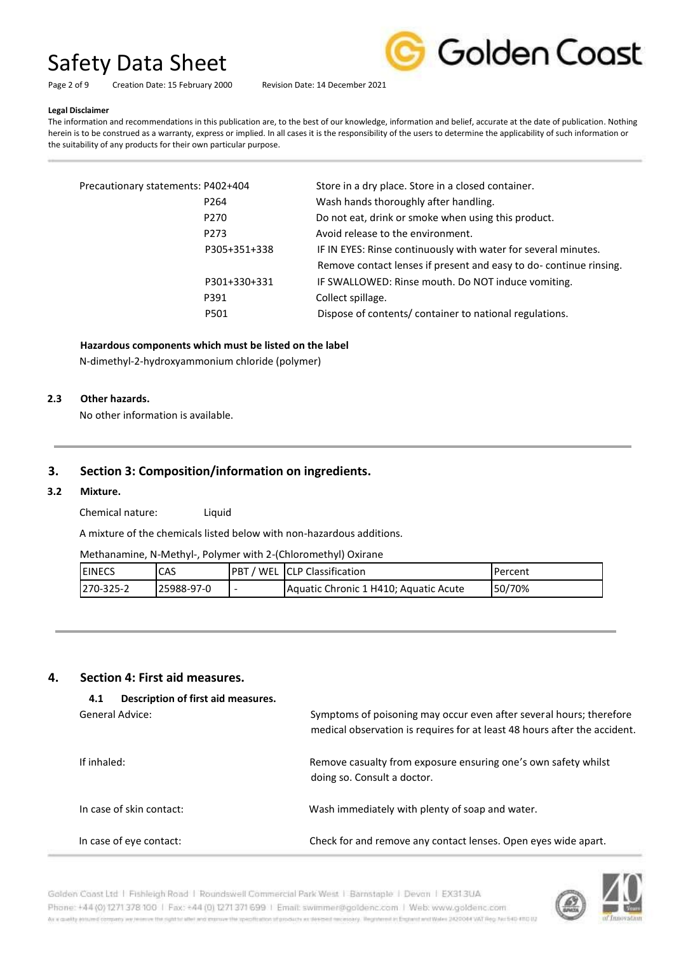Golden Coast

Page 2 of 9 Creation Date: 15 February 2000 Revision Date: 14 December 2021

#### **Legal Disclaimer**

The information and recommendations in this publication are, to the best of our knowledge, information and belief, accurate at the date of publication. Nothing herein is to be construed as a warranty, express or implied. In all cases it is the responsibility of the users to determine the applicability of such information or the suitability of any products for their own particular purpose.

| Precautionary statements: P402+404 |                  | Store in a dry place. Store in a closed container.                |
|------------------------------------|------------------|-------------------------------------------------------------------|
|                                    | P <sub>264</sub> | Wash hands thoroughly after handling.                             |
|                                    | P <sub>270</sub> | Do not eat, drink or smoke when using this product.               |
|                                    | P273             | Avoid release to the environment.                                 |
|                                    | P305+351+338     | IF IN EYES: Rinse continuously with water for several minutes.    |
|                                    |                  | Remove contact lenses if present and easy to do-continue rinsing. |
|                                    | P301+330+331     | IF SWALLOWED: Rinse mouth. Do NOT induce vomiting.                |
|                                    | P391             | Collect spillage.                                                 |
|                                    | P501             | Dispose of contents/ container to national regulations.           |
|                                    |                  |                                                                   |

#### **Hazardous components which must be listed on the label**

N-dimethyl-2-hydroxyammonium chloride (polymer)

#### **2.3 Other hazards.**

No other information is available.

#### **3. Section 3: Composition/information on ingredients.**

#### **3.2 Mixture.**

Chemical nature: Liquid

A mixture of the chemicals listed below with non-hazardous additions.

Methanamine, N-Methyl-, Polymer with 2-(Chloromethyl) Oxirane

| <b>IEINECS</b> | CAS        | . PBT<br>' WEL | <b>ICLP Classification</b>            | Percent |
|----------------|------------|----------------|---------------------------------------|---------|
| 1270-325-2     | 25988-97-0 |                | Aquatic Chronic 1 H410; Aquatic Acute | 50/70%  |

#### **4. Section 4: First aid measures.**

| Description of first aid measures.<br>4.1 |                                                                                                                                                  |
|-------------------------------------------|--------------------------------------------------------------------------------------------------------------------------------------------------|
| General Advice:                           | Symptoms of poisoning may occur even after several hours; therefore<br>medical observation is requires for at least 48 hours after the accident. |
| If inhaled:                               | Remove casualty from exposure ensuring one's own safety whilst<br>doing so. Consult a doctor.                                                    |
| In case of skin contact:                  | Wash immediately with plenty of soap and water.                                                                                                  |
| In case of eye contact:                   | Check for and remove any contact lenses. Open eyes wide apart.                                                                                   |



Golden Coast Ltd | Fishleigh Road | Roundswell Commercial Park West | Barnstaple | Devon | EX313UA Phone: +44 (0) 1271 378 100 | Fax: +44 (0) 1271 371 699 | Email: swimmer@goldenc.com | Web: www.goldenc.com As a couldy entured company we reserve the right to aller and interventer the specification of products as determinismic securities; Registered in Engines and Wales (M20044 VAT Reg. Factbox 010) UZ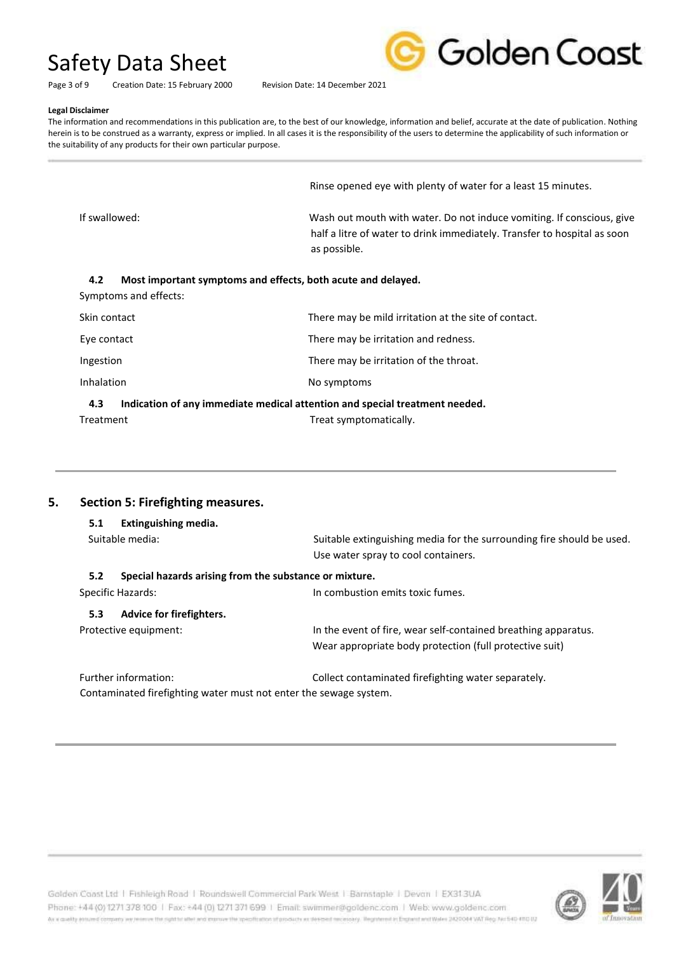Golden Coast

Page 3 of 9 Creation Date: 15 February 2000 Revision Date: 14 December 2021

#### **Legal Disclaimer**

The information and recommendations in this publication are, to the best of our knowledge, information and belief, accurate at the date of publication. Nothing herein is to be construed as a warranty, express or implied. In all cases it is the responsibility of the users to determine the applicability of such information or the suitability of any products for their own particular purpose.

Rinse opened eye with plenty of water for a least 15 minutes.

If swallowed: Wash out mouth with water. Do not induce vomiting. If conscious, give half a litre of water to drink immediately. Transfer to hospital as soon as possible.

#### **4.2 Most important symptoms and effects, both acute and delayed.**

Symptoms and effects:

| $\cdots$          | $\mathbf{r}$ , and the set of the set of the set of the set of the set of the set of the set of the set of the set of the set of the set of the set of the set of the set of the set of the set of the set of the set of the set |
|-------------------|----------------------------------------------------------------------------------------------------------------------------------------------------------------------------------------------------------------------------------|
| <b>Inhalation</b> | No symptoms                                                                                                                                                                                                                      |
| Ingestion         | There may be irritation of the throat.                                                                                                                                                                                           |
| Eye contact       | There may be irritation and redness.                                                                                                                                                                                             |
| Skin contact      | There may be mild irritation at the site of contact.                                                                                                                                                                             |

#### **4.3 Indication of any immediate medical attention and special treatment needed.**  Treatment Treat symptomatically.

# **5. Section 5: Firefighting measures.**

| 5.1 | Extinguishing media.                                              |                                                                                                              |
|-----|-------------------------------------------------------------------|--------------------------------------------------------------------------------------------------------------|
|     | Suitable media:                                                   | Suitable extinguishing media for the surrounding fire should be used.<br>Use water spray to cool containers. |
| 5.2 | Special hazards arising from the substance or mixture.            |                                                                                                              |
|     | Specific Hazards:                                                 | In combustion emits toxic fumes.                                                                             |
| 5.3 | Advice for firefighters.                                          |                                                                                                              |
|     | Protective equipment:                                             | In the event of fire, wear self-contained breathing apparatus.                                               |
|     |                                                                   | Wear appropriate body protection (full protective suit)                                                      |
|     | Further information:                                              | Collect contaminated firefighting water separately.                                                          |
|     | Contaminated firefighting water must not enter the sewage system. |                                                                                                              |

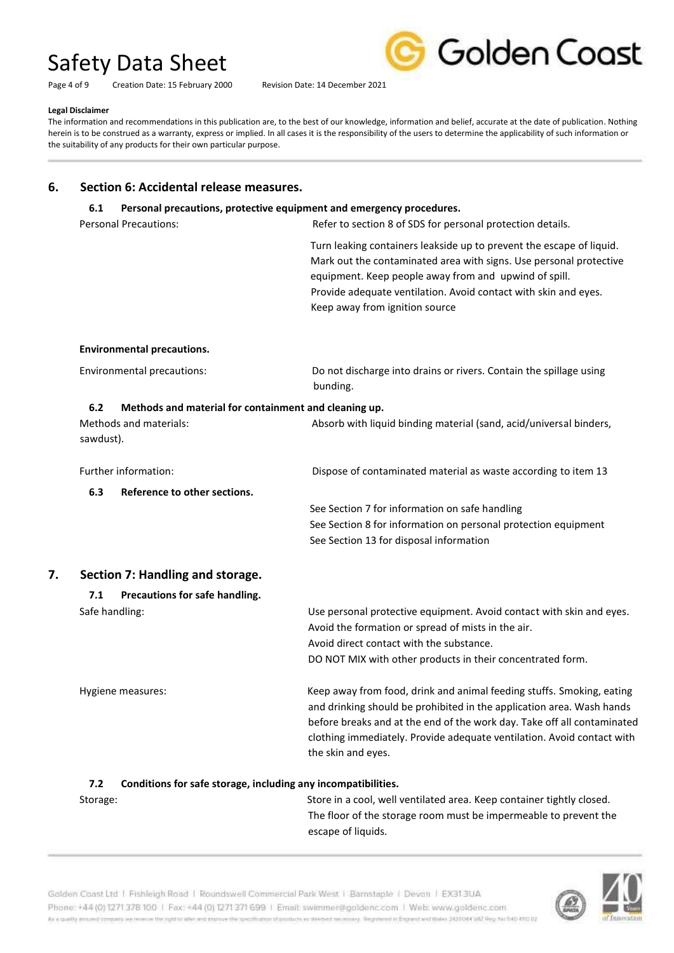Page 4 of 9 Creation Date: 15 February 2000 Revision Date: 14 December 2021



#### **Legal Disclaimer**

The information and recommendations in this publication are, to the best of our knowledge, information and belief, accurate at the date of publication. Nothing herein is to be construed as a warranty, express or implied. In all cases it is the responsibility of the users to determine the applicability of such information or the suitability of any products for their own particular purpose.

### **6. Section 6: Accidental release measures.**

### **6.1 Personal precautions, protective equipment and emergency procedures.**

Personal Precautions: The Refer to section 8 of SDS for personal protection details.

Turn leaking containers leakside up to prevent the escape of liquid. Mark out the contaminated area with signs. Use personal protective equipment. Keep people away from and upwind of spill. Provide adequate ventilation. Avoid contact with skin and eyes. Keep away from ignition source

 before breaks and at the end of the work day. Take off all contaminated clothing immediately. Provide adequate ventilation. Avoid contact with

#### **Environmental precautions.**

| Environmental precautions: |                                                       | Do not discharge into drains or rivers. Contain the spillage using |
|----------------------------|-------------------------------------------------------|--------------------------------------------------------------------|
|                            |                                                       | bunding.                                                           |
| 6.2                        | Methods and material for containment and cleaning up. |                                                                    |

|    | Methods and materials:<br>sawdust).   | Absorb with liquid binding material (sand, acid/universal binders,                                                                             |
|----|---------------------------------------|------------------------------------------------------------------------------------------------------------------------------------------------|
|    | Further information:                  | Dispose of contaminated material as waste according to item 13                                                                                 |
|    | 6.3<br>Reference to other sections.   |                                                                                                                                                |
|    |                                       | See Section 7 for information on safe handling                                                                                                 |
|    |                                       | See Section 8 for information on personal protection equipment                                                                                 |
|    |                                       | See Section 13 for disposal information                                                                                                        |
| 7. | Section 7: Handling and storage.      |                                                                                                                                                |
|    | Precautions for safe handling.<br>7.1 |                                                                                                                                                |
|    | Safe handling:                        | Use personal protective equipment. Avoid contact with skin and eyes.                                                                           |
|    |                                       | Avoid the formation or spread of mists in the air.                                                                                             |
|    |                                       | Avoid direct contact with the substance.                                                                                                       |
|    |                                       | DO NOT MIX with other products in their concentrated form.                                                                                     |
|    | Hygiene measures:                     | Keep away from food, drink and animal feeding stuffs. Smoking, eating<br>and drinking should be prohibited in the application area. Wash hands |

the skin and eyes.

**7.2 Conditions for safe storage, including any incompatibilities.**  Storage: Store in a cool, well ventilated area. Keep container tightly closed. The floor of the storage room must be impermeable to prevent the escape of liquids.



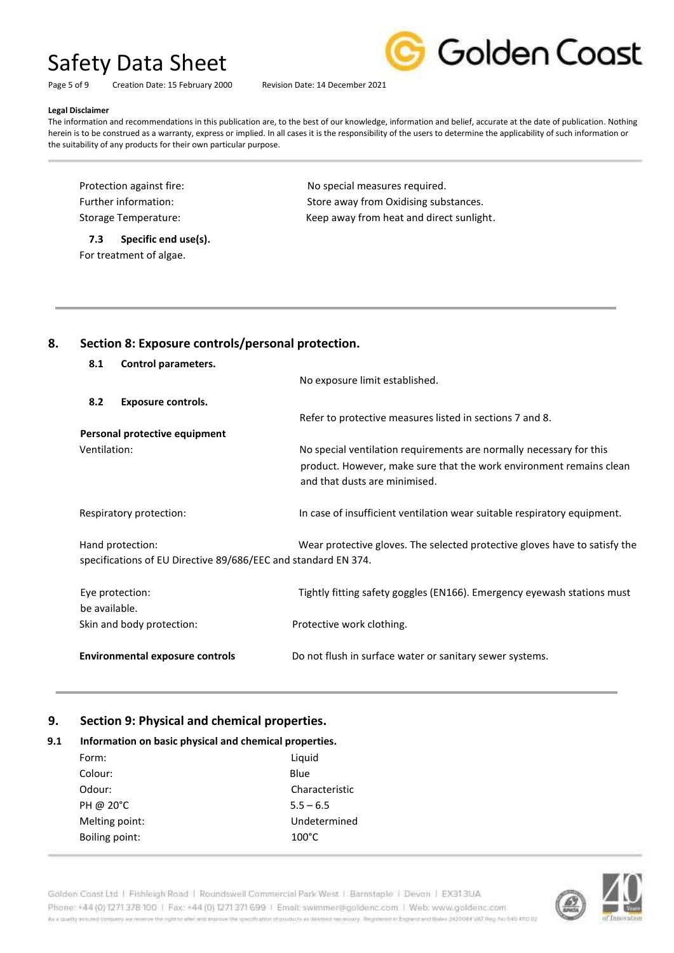Page 5 of 9 Creation Date: 15 February 2000 Revision Date: 14 December 2021



#### **Legal Disclaimer**

The information and recommendations in this publication are, to the best of our knowledge, information and belief, accurate at the date of publication. Nothing herein is to be construed as a warranty, express or implied. In all cases it is the responsibility of the users to determine the applicability of such information or the suitability of any products for their own particular purpose.

Protection against fire: No special measures required.

**7.3 Specific end use(s).**  For treatment of algae.

Further information: Store away from Oxidising substances. Storage Temperature: The Storage Temperature: Keep away from heat and direct sunlight.

### **8. Section 8: Exposure controls/personal protection.**

| 8.1                                                                                                                                                              | Control parameters.                    |                                                                                                      |
|------------------------------------------------------------------------------------------------------------------------------------------------------------------|----------------------------------------|------------------------------------------------------------------------------------------------------|
|                                                                                                                                                                  |                                        | No exposure limit established.                                                                       |
| 8.2                                                                                                                                                              | <b>Exposure controls.</b>              |                                                                                                      |
|                                                                                                                                                                  |                                        | Refer to protective measures listed in sections 7 and 8.                                             |
|                                                                                                                                                                  | Personal protective equipment          |                                                                                                      |
| Ventilation:                                                                                                                                                     |                                        | No special ventilation requirements are normally necessary for this                                  |
|                                                                                                                                                                  |                                        | product. However, make sure that the work environment remains clean<br>and that dusts are minimised. |
|                                                                                                                                                                  | Respiratory protection:                | In case of insufficient ventilation wear suitable respiratory equipment.                             |
| Wear protective gloves. The selected protective gloves have to satisfy the<br>Hand protection:<br>specifications of EU Directive 89/686/EEC and standard EN 374. |                                        |                                                                                                      |
| Eye protection:<br>be available.                                                                                                                                 |                                        | Tightly fitting safety goggles (EN166). Emergency eyewash stations must                              |
|                                                                                                                                                                  | Skin and body protection:              | Protective work clothing.                                                                            |
|                                                                                                                                                                  | <b>Environmental exposure controls</b> | Do not flush in surface water or sanitary sewer systems.                                             |

# **9. Section 9: Physical and chemical properties.**

### **9.1 Information on basic physical and chemical properties.**

| Form:          | Liquid          |
|----------------|-----------------|
| Colour:        | Blue            |
| Odour:         | Characteristic  |
| PH @ 20°C      | $5.5 - 6.5$     |
| Melting point: | Undetermined    |
| Boiling point: | $100^{\circ}$ C |
|                |                 |

Golden Coast Ltd | Fishleigh Road | Roundswell Commercial Park West | Barnstaple | Devon | EX313UA Phone: +44 (0) 1271 378 100 | Fax: +44 (0) 1271 371 699 | Email: swimmer@goldenc.com | Web: www.goldenc.com As a couldy entured company we reserve the right to aller and interventer the specification of products as determinismic securities; Registered in Engines and Wales (M20044 VAT Reg. Factbox 010) UZ

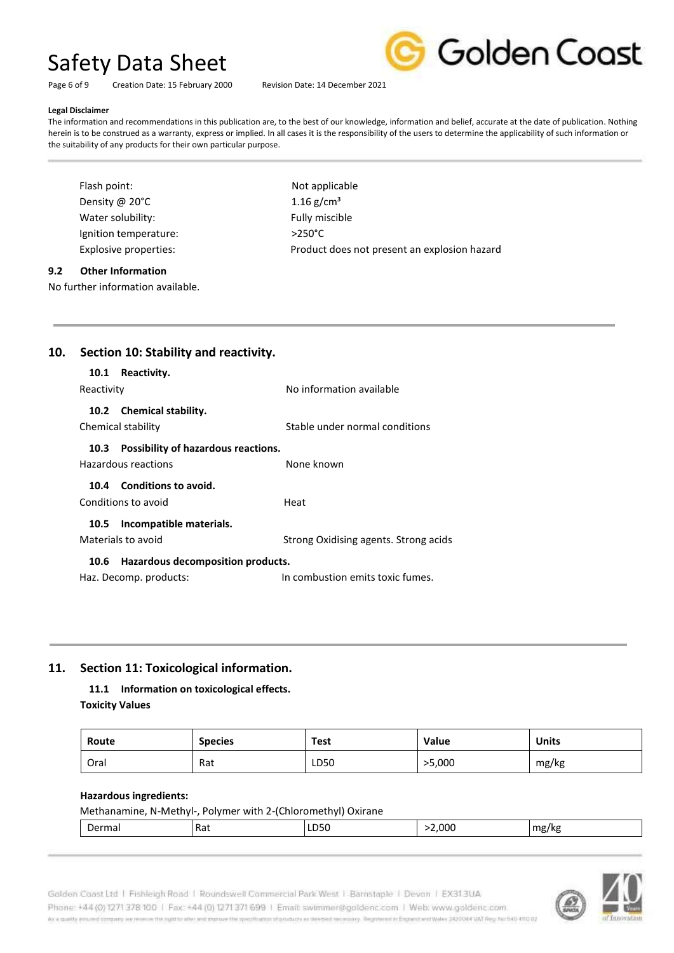Golden Coast

Page 6 of 9 Creation Date: 15 February 2000 Revision Date: 14 December 2021

#### **Legal Disclaimer**

The information and recommendations in this publication are, to the best of our knowledge, information and belief, accurate at the date of publication. Nothing herein is to be construed as a warranty, express or implied. In all cases it is the responsibility of the users to determine the applicability of such information or the suitability of any products for their own particular purpose.

| Flash point:          | Not applica      |
|-----------------------|------------------|
| Density @ 20°C        | 1.16 $g/cm^3$    |
| Water solubility:     | Fully miscib     |
| Ignition temperature: | $>250^{\circ}$ C |
| Explosive properties: | Product do       |
|                       |                  |

pplicable niscible ct does not present an explosion hazard

#### **9.2 Other Information**

No further information available.

| 10. | Section 10: Stability and reactivity. |                                     |                                       |
|-----|---------------------------------------|-------------------------------------|---------------------------------------|
|     | 10.1                                  | Reactivity.                         |                                       |
|     | Reactivity                            |                                     | No information available              |
|     |                                       | 10.2 Chemical stability.            |                                       |
|     |                                       | Chemical stability                  | Stable under normal conditions        |
|     | 10.3                                  | Possibility of hazardous reactions. |                                       |
|     |                                       | Hazardous reactions                 | None known                            |
|     |                                       | 10.4 Conditions to avoid.           |                                       |
|     |                                       | Conditions to avoid                 | Heat                                  |
|     | 10.5                                  | Incompatible materials.             |                                       |
|     |                                       | Materials to avoid                  | Strong Oxidising agents. Strong acids |

#### **10.6 Hazardous decomposition products.**

Haz. Decomp. products: In combustion emits toxic fumes.

## **11. Section 11: Toxicological information.**

**11.1 Information on toxicological effects. Toxicity Values** 

| Route | <b>Species</b> | Test | <b>Value</b> | <b>Units</b> |
|-------|----------------|------|--------------|--------------|
| Oral  | Rat            | LD50 | >5,000       | mg/kg        |

#### **Hazardous ingredients:**

| Methanamine, N-Methyl-, Polymer with 2-(Chloromethyl) Oxirane |     |      |        |       |
|---------------------------------------------------------------|-----|------|--------|-------|
| Dermal                                                        | Rat | LD50 | 2,000> | mg/kg |

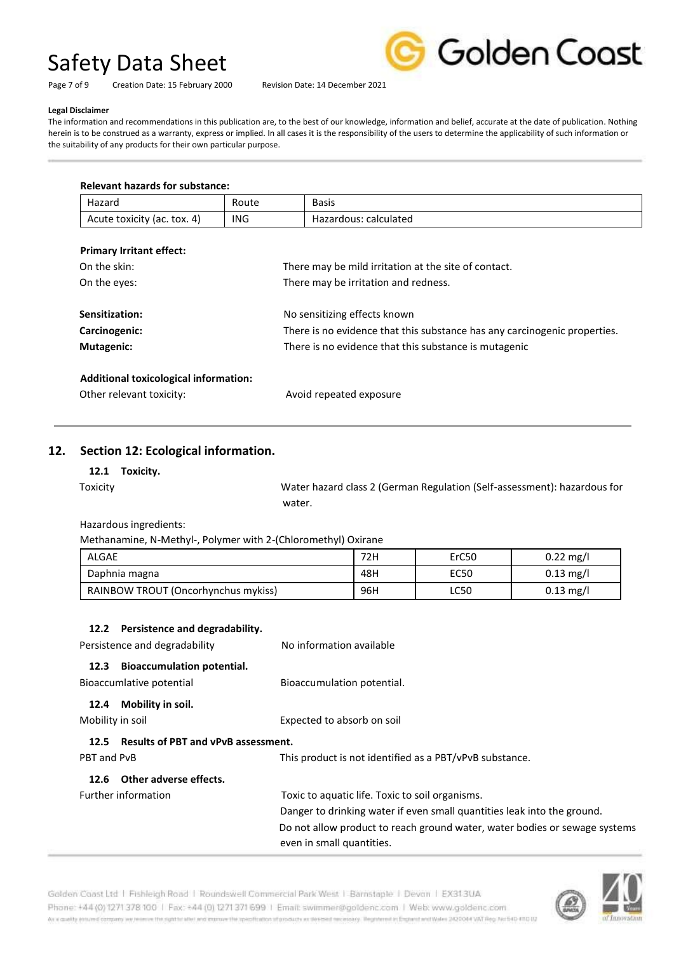Golden Coast

Page 7 of 9 Creation Date: 15 February 2000 Revision Date: 14 December 2021

#### **Legal Disclaimer**

The information and recommendations in this publication are, to the best of our knowledge, information and belief, accurate at the date of publication. Nothing herein is to be construed as a warranty, express or implied. In all cases it is the responsibility of the users to determine the applicability of such information or the suitability of any products for their own particular purpose.

| Hazard                                | Route |                                                                           | <b>Basis</b>                                          |  |
|---------------------------------------|-------|---------------------------------------------------------------------------|-------------------------------------------------------|--|
| ING.<br>Acute toxicity (ac. tox. 4)   |       |                                                                           | Hazardous: calculated                                 |  |
| <b>Primary Irritant effect:</b>       |       |                                                                           |                                                       |  |
| On the skin:                          |       |                                                                           | There may be mild irritation at the site of contact.  |  |
| On the eyes:                          |       | There may be irritation and redness.                                      |                                                       |  |
| Sensitization:                        |       |                                                                           | No sensitizing effects known                          |  |
| Carcinogenic:                         |       | There is no evidence that this substance has any carcinogenic properties. |                                                       |  |
| <b>Mutagenic:</b>                     |       |                                                                           | There is no evidence that this substance is mutagenic |  |
| Additional toxicological information: |       |                                                                           |                                                       |  |
| Other relevant toxicity:              |       |                                                                           | Avoid repeated exposure                               |  |

### **12. Section 12: Ecological information.**

#### **12.1 Toxicity.**

Toxicity Water hazard class 2 (German Regulation (Self-assessment): hazardous for water.

Hazardous ingredients:

Methanamine, N-Methyl-, Polymer with 2-(Chloromethyl) Oxirane

| <b>ALGAE</b>                        | 72H | ErC50       | $0.22 \text{ mg/l}$ |
|-------------------------------------|-----|-------------|---------------------|
| Daphnia magna                       | 48H | EC50        | $0.13 \text{ mg/l}$ |
| RAINBOW TROUT (Oncorhynchus mykiss) | 96H | <b>LC50</b> | $0.13 \text{ mg/l}$ |

#### **12.2 Persistence and degradability.**

| Persistence and degradability                                         | No information available                                                                                |
|-----------------------------------------------------------------------|---------------------------------------------------------------------------------------------------------|
| <b>Bioaccumulation potential.</b><br>12.3<br>Bioaccumlative potential | Bioaccumulation potential.                                                                              |
| Mobility in soil.<br>12.4                                             |                                                                                                         |
| Mobility in soil                                                      | Expected to absorb on soil                                                                              |
| <b>Results of PBT and vPvB assessment.</b><br>12.5                    |                                                                                                         |
| PBT and PvB                                                           | This product is not identified as a PBT/vPvB substance.                                                 |
| 12.6 Other adverse effects.                                           |                                                                                                         |
| Further information                                                   | Toxic to aquatic life. Toxic to soil organisms.                                                         |
|                                                                       | Danger to drinking water if even small quantities leak into the ground.                                 |
|                                                                       | Do not allow product to reach ground water, water bodies or sewage systems<br>even in small quantities. |



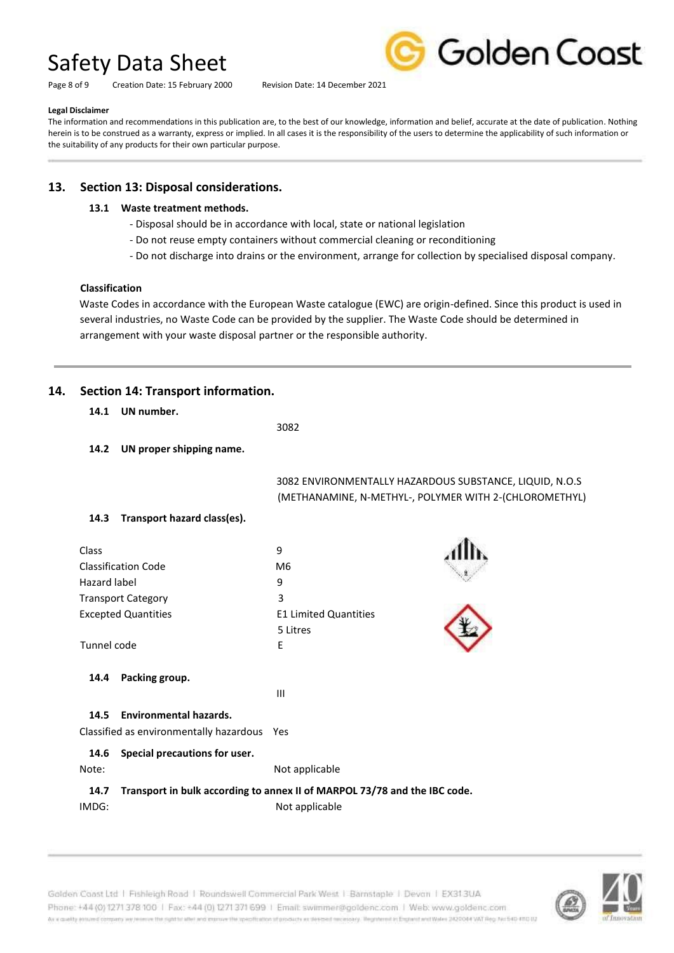Page 8 of 9 Creation Date: 15 February 2000 Revision Date: 14 December 2021



#### **Legal Disclaimer**

The information and recommendations in this publication are, to the best of our knowledge, information and belief, accurate at the date of publication. Nothing herein is to be construed as a warranty, express or implied. In all cases it is the responsibility of the users to determine the applicability of such information or the suitability of any products for their own particular purpose.

# **13. Section 13: Disposal considerations.**

#### **13.1 Waste treatment methods.**

- Disposal should be in accordance with local, state or national legislation
- Do not reuse empty containers without commercial cleaning or reconditioning
- Do not discharge into drains or the environment, arrange for collection by specialised disposal company.

#### **Classification**

Waste Codes in accordance with the European Waste catalogue (EWC) are origin-defined. Since this product is used in several industries, no Waste Code can be provided by the supplier. The Waste Code should be determined in arrangement with your waste disposal partner or the responsible authority.

# **14. Section 14: Transport information.**

| 14.1 | UN number. |
|------|------------|
|      |            |

<u>3082</u>

**14.2 UN proper shipping name.**

 3082 ENVIRONMENTALLY HAZARDOUS SUBSTANCE, LIQUID, N.O.S (METHANAMINE, N-METHYL-, POLYMER WITH 2-(CHLOROMETHYL)

### **14.3 Transport hazard class(es).**

| Class<br><b>Classification Code</b>                                                  | 9<br>M6                                  |  |
|--------------------------------------------------------------------------------------|------------------------------------------|--|
| Hazard label                                                                         | 9                                        |  |
| <b>Transport Category</b>                                                            | 3                                        |  |
| <b>Excepted Quantities</b>                                                           | <b>E1 Limited Quantities</b><br>5 Litres |  |
| Tunnel code                                                                          | E                                        |  |
| Packing group.<br>14.4                                                               |                                          |  |
|                                                                                      | Ш                                        |  |
| <b>Environmental hazards.</b><br>14.5<br>Classified as environmentally hazardous Yes |                                          |  |
| Special precautions for user.<br>14.6<br>Note:                                       | Not applicable                           |  |

### **14.7 Transport in bulk according to annex II of MARPOL 73/78 and the IBC code.**  IMDG: Not applicable